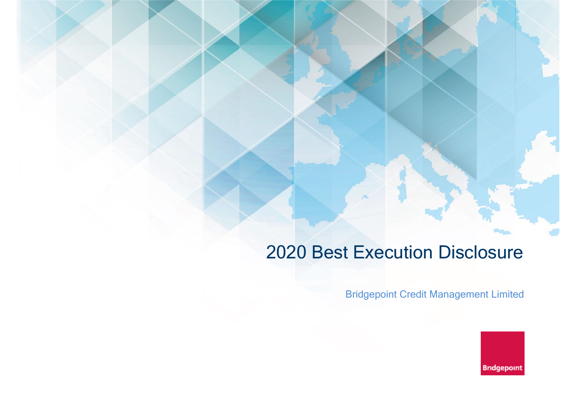# 2020 Best Execution Disclosure

Bridgepoint Credit Management Limited

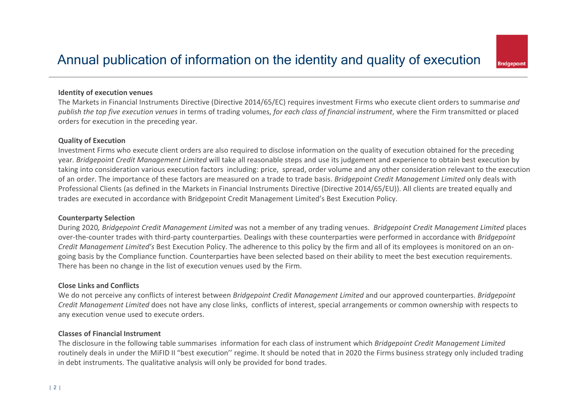### Annual publication of information on the identity and quality of execution

#### **Identity of execution venues**

The Markets in Financial Instruments Directive (Directive 2014/65/EC) requires investment Firms who execute client orders to summarise *and* publish the top five execution venues in terms of trading volumes, for each class of financial instrument, where the Firm transmitted or placed orders for execution in the preceding year.

#### **Quality of Execution**

Investment Firms who execute client orders are also required to disclose information on the quality of execution obtained for the preceding year*. Bridgepoint Credit Management Limited* will take all reasonable steps and use its judgement and experience to obtain best execution by taking into consideration various execution factors including: price, spread, order volume and any other consideration relevant to the execution of an order. The importance of these factors are measured on <sup>a</sup> trade to trade basis. *Bridgepoint Credit Management Limited* only deals with Professional Clients (as defined in the Markets in Financial Instruments Directive (Directive 2014/65/EU)). All clients are treated equally and trades are executed in accordance with Bridgepoint Credit Management Limited's Best Execution Policy.

#### **Counterparty Selection**

During 2020*, Bridgepoint Credit Management Limited* was not <sup>a</sup> member of any trading venues. *Bridgepoint Credit Management Limited* places over‐the‐counter trades with third‐party counterparties. Dealings with these counterparties were performed in accordance with *Bridgepoint Credit Management Limited's* Best Execution Policy. The adherence to this policy by the firm and all of its employees is monitored on an on‐ going basis by the Compliance function. Counterparties have been selected based on their ability to meet the best execution requirements. There has been no change in the list of execution venues used by the Firm.

#### **Close Links and Conflicts**

We do not perceive any conflicts of interest between *Bridgepoint Credit Management Limited* and our approved counterparties. *Bridgepoint Credit Management Limited* does not have any close links, conflicts of interest, special arrangements or common ownership with respects to any execution venue used to execute orders.

#### **Classes of Financial Instrument**

The disclosure in the following table summarises information for each class of instrument which *Bridgepoint Credit Management Limited* routinely deals in under the MiFID II "best execution'' regime. It should be noted that in 2020 the Firms business strategy only included trading in debt instruments. The qualitative analysis will only be provided for bond trades.